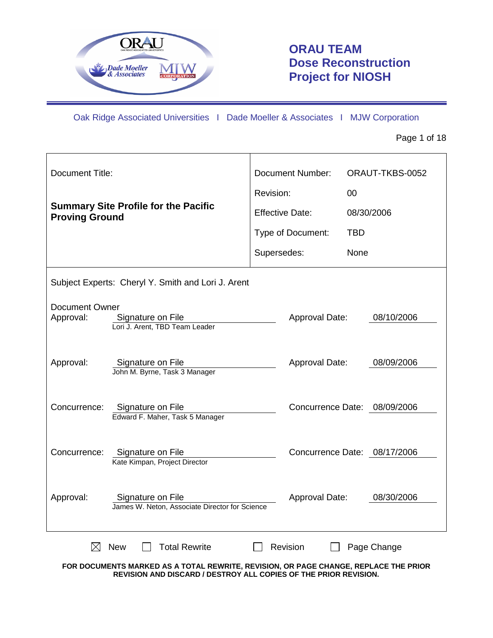

# **ORAU TEAM Dose Reconstruction Project for NIOSH**

Oak Ridge Associated Universities I Dade Moeller & Associates I MJW Corporation

Page 1 of 18

| <b>Document Title:</b>                                                                                                          | <b>Document Number:</b> | ORAUT-TKBS-0052              |
|---------------------------------------------------------------------------------------------------------------------------------|-------------------------|------------------------------|
|                                                                                                                                 | Revision:               | 00                           |
| <b>Summary Site Profile for the Pacific</b><br><b>Proving Ground</b>                                                            | <b>Effective Date:</b>  | 08/30/2006                   |
|                                                                                                                                 | Type of Document:       | <b>TBD</b>                   |
|                                                                                                                                 | Supersedes:             | None                         |
| Subject Experts: Cheryl Y. Smith and Lori J. Arent                                                                              |                         |                              |
| <b>Document Owner</b><br>Approval:<br>Signature on File<br>Lori J. Arent, TBD Team Leader                                       | Approval Date:          | 08/10/2006                   |
| Approval:<br>Signature on File<br>John M. Byrne, Task 3 Manager                                                                 | Approval Date:          | 08/09/2006                   |
| Concurrence:<br>Signature on File<br>Edward F. Maher, Task 5 Manager                                                            |                         | Concurrence Date: 08/09/2006 |
| Concurrence:<br>Signature on File<br>Kate Kimpan, Project Director                                                              |                         | Concurrence Date: 08/17/2006 |
| Approval:<br>Signature on File<br>James W. Neton, Associate Director for Science                                                | Approval Date:          | 08/30/2006                   |
| <b>New</b><br><b>Total Rewrite</b><br>M<br>FOR DOCUMENTS MARKED AS A TOTAL REWRITE, REVISION, OR PAGE CHANGE, REPLACE THE PRIOR | Revision                | Page Change                  |

**REVISION AND DISCARD / DESTROY ALL COPIES OF THE PRIOR REVISION.**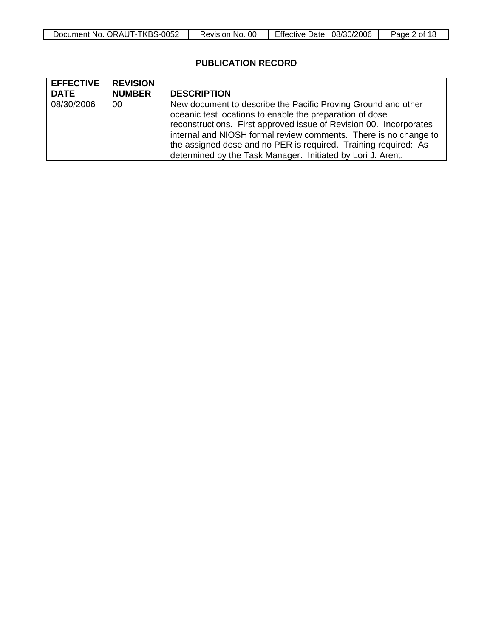| -TKBS-0052<br>Document No.<br>. ORAUT-T | OO<br>Revision<br>No. | <b>Effective Date:</b><br>08/30/2006 | Page<br>nt. |
|-----------------------------------------|-----------------------|--------------------------------------|-------------|

# **PUBLICATION RECORD**

| <b>EFFECTIVE</b> | <b>REVISION</b> |                                                                                                                                                                                                                                                                                                                                                                                                       |
|------------------|-----------------|-------------------------------------------------------------------------------------------------------------------------------------------------------------------------------------------------------------------------------------------------------------------------------------------------------------------------------------------------------------------------------------------------------|
| <b>DATE</b>      | <b>NUMBER</b>   | <b>DESCRIPTION</b>                                                                                                                                                                                                                                                                                                                                                                                    |
| 08/30/2006       | 00              | New document to describe the Pacific Proving Ground and other<br>oceanic test locations to enable the preparation of dose<br>reconstructions. First approved issue of Revision 00. Incorporates<br>internal and NIOSH formal review comments. There is no change to<br>the assigned dose and no PER is required. Training required: As<br>determined by the Task Manager. Initiated by Lori J. Arent. |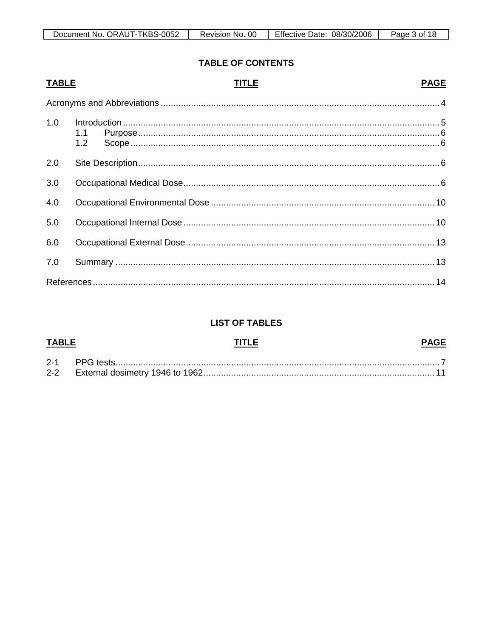| Document No. ORAUT-TKBS-0052 | Revision No. 00 | Effective Date: 08/30/2006 | Page 3 of 18 |
|------------------------------|-----------------|----------------------------|--------------|
|------------------------------|-----------------|----------------------------|--------------|

### **TABLE OF CONTENTS**

#### **PAGE TABLE TITLE**  $1.0$  $1.1$  $1.2$  $2.0$  $3.0$  $4.0$  $5.0$  $6.0$  $7.0$

# **LIST OF TABLES**

| <b>TABLE</b> |  |  |
|--------------|--|--|
|              |  |  |
| $2 - 2$      |  |  |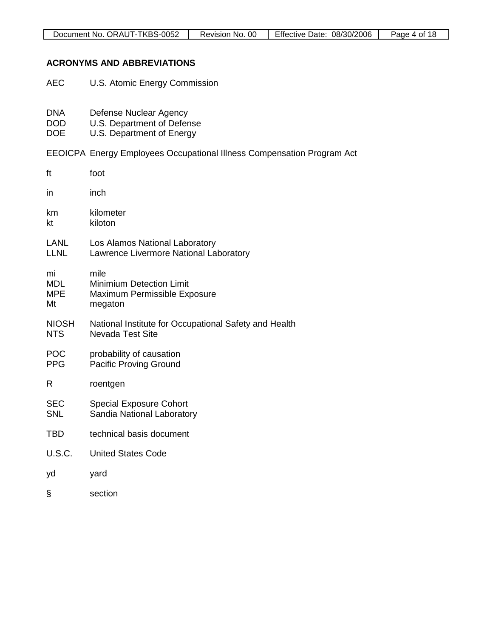| Document No. ORAUT-TKBS-0052 | Revision No. 00 | Effective Date: 08/30/2006 | Page 4 of 18 |
|------------------------------|-----------------|----------------------------|--------------|

### **ACRONYMS AND ABBREVIATIONS**

- AEC U.S. Atomic Energy Commission
- DNA Defense Nuclear Agency<br>DOD U.S. Department of Defer
- DOD U.S. Department of Defense<br>DOE U.S. Department of Energy
- U.S. Department of Energy
- EEOICPA Energy Employees Occupational Illness Compensation Program Act

| ft                                   | foot                                                                               |
|--------------------------------------|------------------------------------------------------------------------------------|
| in                                   | inch                                                                               |
| km<br>kt                             | kilometer<br>kiloton                                                               |
| LANL<br><b>LLNL</b>                  | Los Alamos National Laboratory<br>Lawrence Livermore National Laboratory           |
| mi<br><b>MDL</b><br><b>MPE</b><br>Mt | mile<br><b>Minimium Detection Limit</b><br>Maximum Permissible Exposure<br>megaton |
| <b>NIOSH</b><br><b>NTS</b>           | National Institute for Occupational Safety and Health<br><b>Nevada Test Site</b>   |
| <b>POC</b><br><b>PPG</b>             | probability of causation<br><b>Pacific Proving Ground</b>                          |
| R                                    | roentgen                                                                           |
| <b>SEC</b><br><b>SNL</b>             | <b>Special Exposure Cohort</b><br>Sandia National Laboratory                       |
| <b>TBD</b>                           | technical basis document                                                           |
| U.S.C.                               | <b>United States Code</b>                                                          |
| yd                                   | yard                                                                               |
| §                                    | section                                                                            |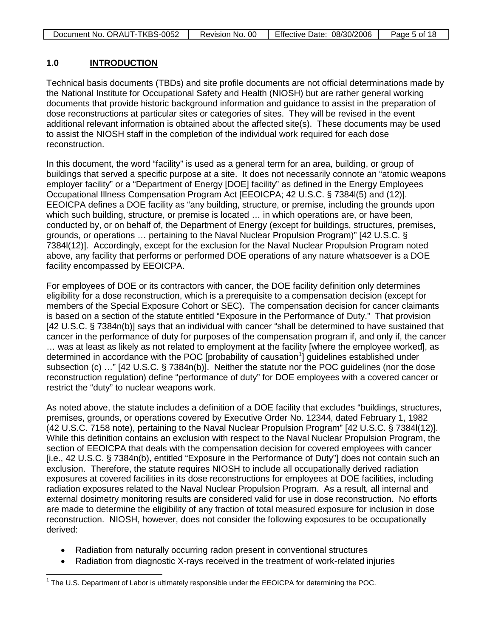| Document No. ORAUT-TKBS-0052 | Revision No. 00 | Effective Date: 08/30/2006 | Page 5 of 18 |
|------------------------------|-----------------|----------------------------|--------------|

#### **1.0 INTRODUCTION**

Technical basis documents (TBDs) and site profile documents are not official determinations made by the National Institute for Occupational Safety and Health (NIOSH) but are rather general working documents that provide historic background information and guidance to assist in the preparation of dose reconstructions at particular sites or categories of sites. They will be revised in the event additional relevant information is obtained about the affected site(s). These documents may be used to assist the NIOSH staff in the completion of the individual work required for each dose reconstruction.

In this document, the word "facility" is used as a general term for an area, building, or group of buildings that served a specific purpose at a site. It does not necessarily connote an "atomic weapons employer facility" or a "Department of Energy [DOE] facility" as defined in the Energy Employees Occupational Illness Compensation Program Act [EEOICPA; 42 U.S.C. § 7384l(5) and (12)]. EEOICPA defines a DOE facility as "any building, structure, or premise, including the grounds upon which such building, structure, or premise is located … in which operations are, or have been, conducted by, or on behalf of, the Department of Energy (except for buildings, structures, premises, grounds, or operations … pertaining to the Naval Nuclear Propulsion Program)" [42 U.S.C. § 7384l(12)]. Accordingly, except for the exclusion for the Naval Nuclear Propulsion Program noted above, any facility that performs or performed DOE operations of any nature whatsoever is a DOE facility encompassed by EEOICPA.

For employees of DOE or its contractors with cancer, the DOE facility definition only determines eligibility for a dose reconstruction, which is a prerequisite to a compensation decision (except for members of the Special Exposure Cohort or SEC). The compensation decision for cancer claimants is based on a section of the statute entitled "Exposure in the Performance of Duty." That provision [42 U.S.C. § 7384n(b)] says that an individual with cancer "shall be determined to have sustained that cancer in the performance of duty for purposes of the compensation program if, and only if, the cancer … was at least as likely as not related to employment at the facility [where the employee worked], as determined in accordance with the POC [probability of causation<sup>[1](#page-4-0)</sup>] guidelines established under subsection (c) …" [42 U.S.C. § 7384n(b)]. Neither the statute nor the POC guidelines (nor the dose reconstruction regulation) define "performance of duty" for DOE employees with a covered cancer or restrict the "duty" to nuclear weapons work.

As noted above, the statute includes a definition of a DOE facility that excludes "buildings, structures, premises, grounds, or operations covered by Executive Order No. 12344, dated February 1, 1982 (42 U.S.C. 7158 note), pertaining to the Naval Nuclear Propulsion Program" [42 U.S.C. § 7384l(12)]. While this definition contains an exclusion with respect to the Naval Nuclear Propulsion Program, the section of EEOICPA that deals with the compensation decision for covered employees with cancer [i.e., 42 U.S.C. § 7384n(b), entitled "Exposure in the Performance of Duty"] does not contain such an exclusion. Therefore, the statute requires NIOSH to include all occupationally derived radiation exposures at covered facilities in its dose reconstructions for employees at DOE facilities, including radiation exposures related to the Naval Nuclear Propulsion Program. As a result, all internal and external dosimetry monitoring results are considered valid for use in dose reconstruction. No efforts are made to determine the eligibility of any fraction of total measured exposure for inclusion in dose reconstruction. NIOSH, however, does not consider the following exposures to be occupationally derived:

- Radiation from naturally occurring radon present in conventional structures
- Radiation from diagnostic X-rays received in the treatment of work-related injuries

<span id="page-4-0"></span><sup>&</sup>lt;sup>1</sup> The U.S. Department of Labor is ultimately responsible under the EEOICPA for determining the POC.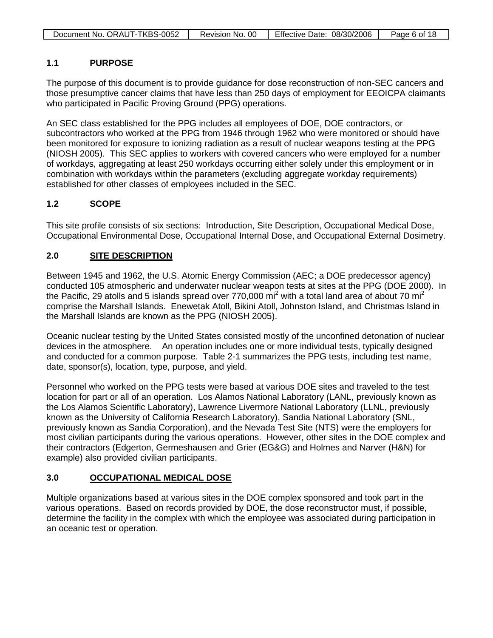| Document No. ORAUT-TKBS-0052 | Revision No. 00   Effective Date: 08/30/2006 | Page 6 of 18 |
|------------------------------|----------------------------------------------|--------------|

### **1.1 PURPOSE**

The purpose of this document is to provide guidance for dose reconstruction of non-SEC cancers and those presumptive cancer claims that have less than 250 days of employment for EEOICPA claimants who participated in Pacific Proving Ground (PPG) operations.

An SEC class established for the PPG includes all employees of DOE, DOE contractors, or subcontractors who worked at the PPG from 1946 through 1962 who were monitored or should have been monitored for exposure to ionizing radiation as a result of nuclear weapons testing at the PPG (NIOSH 2005). This SEC applies to workers with covered cancers who were employed for a number of workdays, aggregating at least 250 workdays occurring either solely under this employment or in combination with workdays within the parameters (excluding aggregate workday requirements) established for other classes of employees included in the SEC.

### **1.2 SCOPE**

This site profile consists of six sections: Introduction, Site Description, Occupational Medical Dose, Occupational Environmental Dose, Occupational Internal Dose, and Occupational External Dosimetry.

#### **2.0 SITE DESCRIPTION**

Between 1945 and 1962, the U.S. Atomic Energy Commission (AEC; a DOE predecessor agency) conducted 105 atmospheric and underwater nuclear weapon tests at sites at the PPG (DOE 2000). In the Pacific, 29 atolls and 5 islands spread over 770,000 mi<sup>2</sup> with a total land area of about 70 mi<sup>2</sup> comprise the Marshall Islands. Enewetak Atoll, Bikini Atoll, Johnston Island, and Christmas Island in the Marshall Islands are known as the PPG (NIOSH 2005).

Oceanic nuclear testing by the United States consisted mostly of the unconfined detonation of nuclear devices in the atmosphere. An operation includes one or more individual tests, typically designed and conducted for a common purpose. Table 2-1 summarizes the PPG tests, including test name, date, sponsor(s), location, type, purpose, and yield.

Personnel who worked on the PPG tests were based at various DOE sites and traveled to the test location for part or all of an operation. Los Alamos National Laboratory (LANL, previously known as the Los Alamos Scientific Laboratory), Lawrence Livermore National Laboratory (LLNL, previously known as the University of California Research Laboratory), Sandia National Laboratory (SNL, previously known as Sandia Corporation), and the Nevada Test Site (NTS) were the employers for most civilian participants during the various operations. However, other sites in the DOE complex and their contractors (Edgerton, Germeshausen and Grier (EG&G) and Holmes and Narver (H&N) for example) also provided civilian participants.

#### **3.0 OCCUPATIONAL MEDICAL DOSE**

Multiple organizations based at various sites in the DOE complex sponsored and took part in the various operations. Based on records provided by DOE, the dose reconstructor must, if possible, determine the facility in the complex with which the employee was associated during participation in an oceanic test or operation.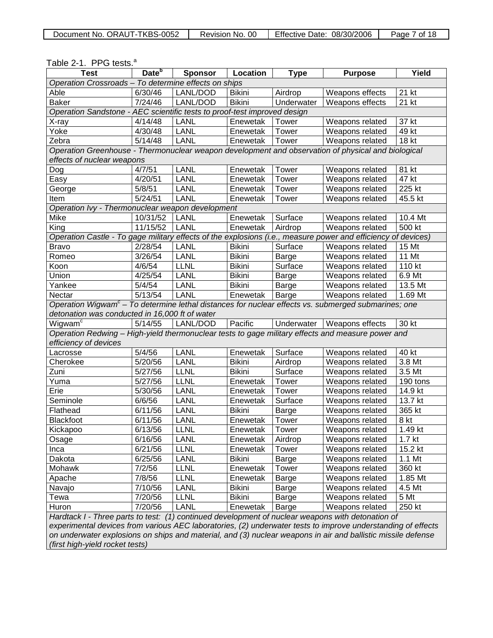| Document No. ORAUT-TKBS-0052 | Revision No. 00 | Effective Date: 08/30/2006 | Page 7 of 18 |
|------------------------------|-----------------|----------------------------|--------------|
|------------------------------|-----------------|----------------------------|--------------|

| <b>Test</b>                                                                                                     | Date <sup>b</sup> | <b>Sponsor</b> | Location      | <b>Type</b>  | <b>Purpose</b>                     | Yield             |
|-----------------------------------------------------------------------------------------------------------------|-------------------|----------------|---------------|--------------|------------------------------------|-------------------|
| Operation Crossroads - To determine effects on ships                                                            |                   |                |               |              |                                    |                   |
| Able                                                                                                            | 6/30/46           | LANL/DOD       | <b>Bikini</b> | Airdrop      | Weapons effects                    | 21 kt             |
| <b>Baker</b>                                                                                                    | 7/24/46           | LANL/DOD       | <b>Bikini</b> | Underwater   | Weapons effects                    | 21 kt             |
| Operation Sandstone - AEC scientific tests to proof-test improved design                                        |                   |                |               |              |                                    |                   |
| X-ray                                                                                                           | 4/14/48           | <b>LANL</b>    | Enewetak      | Tower        | Weapons related                    | 37 kt             |
| Yoke                                                                                                            | 4/30/48           | <b>LANL</b>    | Enewetak      | Tower        | Weapons related                    | 49 kt             |
| Zebra                                                                                                           | 5/14/48           | <b>LANL</b>    | Enewetak      | Tower        | Weapons related                    | 18 kt             |
| Operation Greenhouse - Thermonuclear weapon development and observation of physical and biological              |                   |                |               |              |                                    |                   |
| effects of nuclear weapons                                                                                      |                   |                |               |              |                                    |                   |
| Dog                                                                                                             | 4/7/51            | <b>LANL</b>    | Enewetak      | Tower        | Weapons related                    | 81 kt             |
| Easy                                                                                                            | $\frac{4}{20/51}$ | <b>LANL</b>    | Enewetak      | Tower        | Weapons related                    | 47 kt             |
| George                                                                                                          | 5/8/51            | LANL           | Enewetak      | Tower        | Weapons related                    | 225 kt            |
| Item                                                                                                            | 5/24/51           | LANL           | Enewetak      | Tower        | Weapons related                    | 45.5 kt           |
| Operation Ivy - Thermonuclear weapon development                                                                |                   |                |               |              |                                    |                   |
| Mike                                                                                                            | 10/31/52          | LANL           | Enewetak      | Surface      | Weapons related                    | 10.4 Mt           |
| King                                                                                                            | 11/15/52          | LANL           | Enewetak      | Airdrop      | Weapons related                    | 500 kt            |
| Operation Castle - To gage military effects of the explosions (i.e., measure power and efficiency of devices)   |                   |                |               |              |                                    |                   |
| Bravo                                                                                                           | 2/28/54           | LANL           | <b>Bikini</b> | Surface      | Weapons related                    | 15 Mt             |
| Romeo                                                                                                           | 3/26/54           | <b>LANL</b>    | <b>Bikini</b> | Barge        | Weapons related                    | 11 Mt             |
| Koon                                                                                                            | 4/6/54            | <b>LLNL</b>    | <b>Bikini</b> | Surface      | Weapons related                    | 110 kt            |
| Union                                                                                                           | $\frac{4}{25/54}$ | <b>LANL</b>    | Bikini        | Barge        | Weapons related                    | 6.9 Mt            |
| Yankee                                                                                                          | 5/4/54            | <b>LANL</b>    | <b>Bikini</b> | Barge        | Weapons related                    | 13.5 Mt           |
| Nectar                                                                                                          | 5/13/54           | LANL           | Enewetak      | Barge        | Weapons related                    | 1.69 Mt           |
| Operation Wigwam <sup>c</sup> - To determine lethal distances for nuclear effects vs. submerged submarines; one |                   |                |               |              |                                    |                   |
| detonation was conducted in 16,000 ft of water                                                                  |                   |                |               |              |                                    |                   |
| Wigwam <sup>c</sup>                                                                                             | 5/14/55           | LANL/DOD       | Pacific       | Underwater   | <b>Weapons effects</b>             | 30 kt             |
| Operation Redwing - High-yield thermonuclear tests to gage military effects and measure power and               |                   |                |               |              |                                    |                   |
| efficiency of devices                                                                                           |                   |                |               |              |                                    |                   |
| Lacrosse                                                                                                        | 5/4/56            | LANL           | Enewetak      | Surface      | Weapons related                    | 40 kt             |
| Cherokee                                                                                                        | 5/20/56           | LANL           | <b>Bikini</b> | Airdrop      | Weapons related                    | 3.8 Mt            |
| Zuni                                                                                                            | 5/27/56           | <b>LLNL</b>    | <b>Bikini</b> | Surface      | Weapons related                    | 3.5 Mt            |
| Yuma                                                                                                            | 5/27/56           | <b>LLNL</b>    | Enewetak      | Tower        | Weapons related                    | 190 tons          |
| Erie                                                                                                            | 5/30/56           | <b>LANL</b>    | Enewetak      | Tower        | Weapons related                    | 14.9 kt           |
| Seminole                                                                                                        | 6/6/56            | <b>LANL</b>    | Enewetak      | Surface      | Weapons related                    | 13.7 kt           |
| Flathead                                                                                                        | 6/11/56           | LANL           | <b>Bikini</b> | Barge        | Weapons related                    | 365 kt            |
| Blackfoot                                                                                                       | 6/11/56           | LANL           | Enewetak      | Tower        | Weapons related                    | 8 kt              |
| Kickapoo                                                                                                        | 6/13/56           | <b>LLNL</b>    | Enewetak      | Tower        | Weapons related                    | 1.49 kt           |
| Osage                                                                                                           | 6/16/56           | LANL           | Enewetak      | Airdrop      | Weapons related                    | 1.7 <sub>kt</sub> |
| Inca                                                                                                            | 6/21/56           | <b>LLNL</b>    | Enewetak      | Tower        | Weapons related                    | 15.2 kt           |
| Dakota                                                                                                          | 6/25/56           | LANL           | <b>Bikini</b> | Barge        | Weapons related                    | 1.1 Mt            |
|                                                                                                                 | 7/2/56            | <b>LLNL</b>    |               |              |                                    | 360 kt            |
| Mohawk                                                                                                          | 7/8/56            | <b>LLNL</b>    | Enewetak      | Tower        | Weapons related                    | 1.85 Mt           |
| Apache                                                                                                          |                   |                | Enewetak      | Barge        | Weapons related<br>Weapons related |                   |
| Navajo                                                                                                          | 7/10/56           | LANL           | <b>Bikini</b> | <b>Barge</b> |                                    | 4.5 Mt            |
| Tewa                                                                                                            | 7/20/56           | <b>LLNL</b>    | <b>Bikini</b> | Barge        | Weapons related                    | 5 Mt              |
| Huron                                                                                                           | 7/20/56           | LANL           | Enewetak      | Barge        | Weapons related                    | 250 kt            |
| Hardtack I - Three parts to test: (1) continued development of nuclear weapons with detonation of               |                   |                |               |              |                                    |                   |
| experimental devices from various AEC laboratories, (2) underwater tests to improve understanding of effects    |                   |                |               |              |                                    |                   |
| on underwater explosions on ships and material, and (3) nuclear weapons in air and ballistic missile defense    |                   |                |               |              |                                    |                   |
| (first high-yield rocket tests)                                                                                 |                   |                |               |              |                                    |                   |

#### Table 2-1. PPG tests. a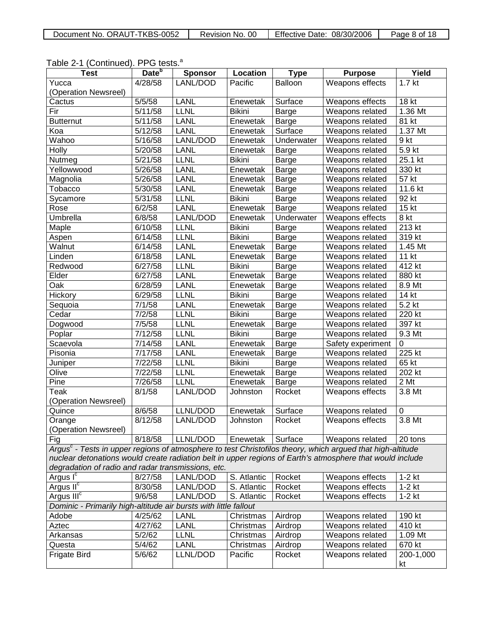| Document No. ORAUT-TKBS-0052 | Revision No. 00 | Effective Date: 08/30/2006 | Page 8 of 18 |
|------------------------------|-----------------|----------------------------|--------------|
|------------------------------|-----------------|----------------------------|--------------|

| $1$ able $2^{-}$ T (Corruptional). The tests.                                                                  |                         |                |               |                        |                   |                   |
|----------------------------------------------------------------------------------------------------------------|-------------------------|----------------|---------------|------------------------|-------------------|-------------------|
| <b>Test</b>                                                                                                    | Date <sup>b</sup>       | <b>Sponsor</b> | Location      | <b>Type</b>            | <b>Purpose</b>    | Yield             |
| Yucca                                                                                                          | 4/28/58                 | LANL/DOD       | Pacific       | Balloon                | Weapons effects   | 1.7 <sub>kt</sub> |
| (Operation Newsreel)                                                                                           |                         |                |               |                        |                   |                   |
| Cactus                                                                                                         | $\frac{1}{5}{\sqrt{5}}$ | <b>LANL</b>    | Enewetak      | Surface                | Weapons effects   | 18 kt             |
| Fir                                                                                                            | 5/11/58                 | <b>LLNL</b>    | <b>Bikini</b> | <b>Barge</b>           | Weapons related   | 1.36 Mt           |
| <b>Butternut</b>                                                                                               | 5/11/58                 | LANL           | Enewetak      | Barge                  | Weapons related   | 81 kt             |
| Koa                                                                                                            | 5/12/58                 | LANL           | Enewetak      | Surface                | Weapons related   | 1.37 Mt           |
| Wahoo                                                                                                          | 5/16/58                 | LANL/DOD       | Enewetak      | Underwater             | Weapons related   | 9 kt              |
| <b>Holly</b>                                                                                                   | 5/20/58                 | <b>LANL</b>    | Enewetak      | Barge                  | Weapons related   | $5.9$ kt          |
| Nutmeg                                                                                                         | 5/21/58                 | <b>LLNL</b>    | <b>Bikini</b> | <b>Barge</b>           | Weapons related   | 25.1 kt           |
| Yellowwood                                                                                                     | 5/26/58                 | <b>LANL</b>    | Enewetak      | <b>Barge</b>           | Weapons related   | 330 kt            |
| Magnolia                                                                                                       | 5/26/58                 | <b>LANL</b>    | Enewetak      | <b>Barge</b>           | Weapons related   | 57 kt             |
| Tobacco                                                                                                        | 5/30/58                 | <b>LANL</b>    | Enewetak      | <b>Barge</b>           | Weapons related   | 11.6 kt           |
| Sycamore                                                                                                       | 5/31/58                 | <b>LLNL</b>    | <b>Bikini</b> | Barge                  | Weapons related   | 92 kt             |
| Rose                                                                                                           | 6/2/58                  | <b>LANL</b>    | Enewetak      | <b>Barge</b>           | Weapons related   | 15 kt             |
| Umbrella                                                                                                       | 6/8/58                  | LANL/DOD       | Enewetak      | Underwater             | Weapons effects   | 8 kt              |
| Maple                                                                                                          | 6/10/58                 | <b>LLNL</b>    | <b>Bikini</b> | Barge                  | Weapons related   | 213 kt            |
| Aspen                                                                                                          | 6/14/58                 | <b>LLNL</b>    | <b>Bikini</b> | Barge                  | Weapons related   | 319 kt            |
| Walnut                                                                                                         | 6/14/58                 | <b>LANL</b>    | Enewetak      | <b>Barge</b>           | Weapons related   | 1.45 Mt           |
| Linden                                                                                                         | 6/18/58                 | <b>LANL</b>    | Enewetak      | <b>Barge</b>           | Weapons related   | 11 kt             |
| Redwood                                                                                                        | 6/27/58                 | <b>LLNL</b>    | <b>Bikini</b> | <b>Barge</b>           | Weapons related   | 412 kt            |
| Elder                                                                                                          | 6/27/58                 | <b>LANL</b>    | Enewetak      | <b>Barge</b>           | Weapons related   | 880 kt            |
| Oak                                                                                                            | 6/28/59                 | <b>LANL</b>    | Enewetak      | <b>Barge</b>           | Weapons related   | 8.9 Mt            |
| Hickory                                                                                                        | 6/29/58                 | <b>LLNL</b>    | <b>Bikini</b> | <b>Barge</b>           | Weapons related   | 14 kt             |
| Sequoia                                                                                                        | 7/1/58                  | <b>LANL</b>    | Enewetak      | <b>Barge</b>           | Weapons related   | 5.2 kt            |
| Cedar                                                                                                          | 7/2/58                  | <b>LLNL</b>    | <b>Bikini</b> | <b>Barge</b>           | Weapons related   | 220 kt            |
| Dogwood                                                                                                        | 7/5/58                  | <b>LLNL</b>    | Enewetak      | <b>Barge</b>           | Weapons related   | 397 kt            |
| Poplar                                                                                                         | $\frac{1}{7}$ /12/58    | <b>LLNL</b>    | <b>Bikini</b> | <b>Barge</b>           | Weapons related   | 9.3 Mt            |
| Scaevola                                                                                                       | 7/14/58                 | <b>LANL</b>    | Enewetak      | <b>Barge</b>           | Safety experiment | $\pmb{0}$         |
| Pisonia                                                                                                        | 7/17/58                 | <b>LANL</b>    | Enewetak      | Barge                  | Weapons related   | 225 kt            |
| Juniper                                                                                                        | 7/22/58                 | <b>LLNL</b>    | <b>Bikini</b> | Barge                  | Weapons related   | 65 kt             |
| Olive                                                                                                          | 7/22/58                 | <b>LLNL</b>    | Enewetak      | <b>Barge</b>           | Weapons related   | 202 kt            |
| Pine                                                                                                           | 7/26/58                 | <b>LLNL</b>    | Enewetak      |                        | Weapons related   | 2 Mt              |
| Teak                                                                                                           | 8/1/58                  | LANL/DOD       |               | <b>Barge</b><br>Rocket | Weapons effects   | 3.8 Mt            |
| (Operation Newsreel)                                                                                           |                         |                | Johnston      |                        |                   |                   |
| Quince                                                                                                         | 8/6/58                  | LLNL/DOD       | Enewetak      | Surface                | Weapons related   | $\mathbf 0$       |
| Orange                                                                                                         | 8/12/58                 | LANL/DOD       | Johnston      | Rocket                 | Weapons effects   | 3.8 Mt            |
| (Operation Newsreel)                                                                                           |                         |                |               |                        |                   |                   |
| Fig                                                                                                            | 8/18/58                 | LLNL/DOD       | Enewetak      | Surface                | Weapons related   | 20 tons           |
| Argus $^c$ - Tests in upper regions of atmosphere to test Christofilos theory, which argued that high-altitude |                         |                |               |                        |                   |                   |
| nuclear detonations would create radiation belt in upper regions of Earth's atmosphere that would include      |                         |                |               |                        |                   |                   |
| degradation of radio and radar transmissions, etc.                                                             |                         |                |               |                        |                   |                   |
| Argus I <sup>c</sup>                                                                                           | 8/27/58                 | LANL/DOD       | S. Atlantic   | Rocket                 | Weapons effects   | $1-2$ kt          |
| Argus II <sup>c</sup>                                                                                          | 8/30/58                 | LANL/DOD       | S. Atlantic   | Rocket                 | Weapons effects   | $1-2$ kt          |
| Argus $IIIc$                                                                                                   | 9/6/58                  | LANL/DOD       | S. Atlantic   | Rocket                 | Weapons effects   | $1-2$ kt          |
| Dominic - Primarily high-altitude air bursts with little fallout                                               |                         |                |               |                        |                   |                   |
| Adobe                                                                                                          | 4/25/62                 | LANL           | Christmas     | Airdrop                | Weapons related   | 190 kt            |
| Aztec                                                                                                          | 4/27/62                 | <b>LANL</b>    | Christmas     | Airdrop                | Weapons related   | 410 kt            |
| Arkansas                                                                                                       | 5/2/62                  | <b>LLNL</b>    | Christmas     |                        | Weapons related   | 1.09 Mt           |
|                                                                                                                |                         |                |               | Airdrop                |                   |                   |
| Questa                                                                                                         | 5/4/62                  | <b>LANL</b>    | Christmas     | Airdrop                | Weapons related   | 670 kt            |
| <b>Frigate Bird</b>                                                                                            | 5/6/62                  | LLNL/DOD       | Pacific       | Rocket                 | Weapons related   | 200-1,000         |
|                                                                                                                |                         |                |               |                        |                   | kt                |

### Table 2-1 (Continued). PPG tests.<sup>a</sup>

 $\mathsf{L}$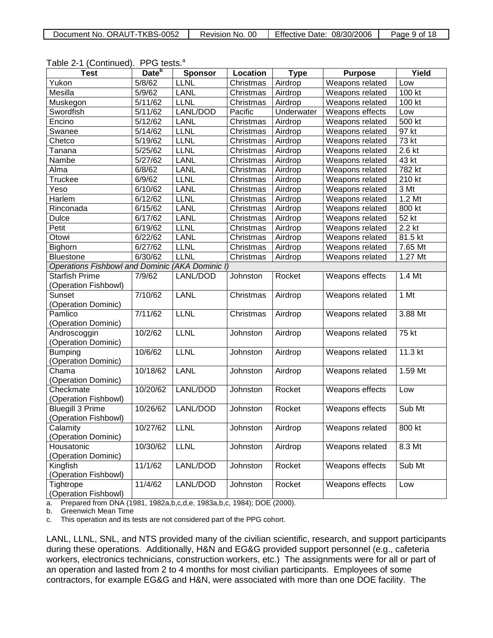| Document No. ORAUT-TKBS-0052 | Revision No. 00 | Effective Date: 08/30/2006 | Page 9 of 18 |
|------------------------------|-----------------|----------------------------|--------------|
|------------------------------|-----------------|----------------------------|--------------|

|  |  | Table 2-1 (Continued). PPG tests. <sup>a</sup> |
|--|--|------------------------------------------------|
|--|--|------------------------------------------------|

| <b>Test</b>                            | Date <sup>b</sup> | <b>Sponsor</b>  | Location  | <b>Type</b> | <b>Purpose</b>  | Yield   |
|----------------------------------------|-------------------|-----------------|-----------|-------------|-----------------|---------|
| Yukon                                  | 5/8/62            | LLNL            | Christmas | Airdrop     | Weapons related | Low     |
| Mesilla                                | 5/9/62            | LANL            | Christmas | Airdrop     | Weapons related | 100 kt  |
| Muskegon                               | 5/11/62           | <b>LLNL</b>     | Christmas | Airdrop     | Weapons related | 100 kt  |
| Swordfish                              | 5/11/62           | LANL/DOD        | Pacific   | Underwater  | Weapons effects | Low     |
| Encino                                 | 5/12/62           | LANL            | Christmas | Airdrop     | Weapons related | 500 kt  |
| Swanee                                 | 5/14/62           | <b>LLNL</b>     | Christmas | Airdrop     | Weapons related | 97 kt   |
| Chetco                                 | 5/19/62           | <b>LLNL</b>     | Christmas | Airdrop     | Weapons related | $73$ kt |
| Tanana                                 | 5/25/62           | <b>LLNL</b>     | Christmas | Airdrop     | Weapons related | 2.6 kt  |
| Nambe                                  | 5/27/62           | <b>LANL</b>     | Christmas | Airdrop     | Weapons related | 43 kt   |
| Alma                                   | 6/8/62            | LANL            | Christmas | Airdrop     | Weapons related | 782 kt  |
| Truckee                                | 6/9/62            | <b>LLNL</b>     | Christmas | Airdrop     | Weapons related | 210 kt  |
| Yeso                                   | 6/10/62           | <b>LANL</b>     | Christmas | Airdrop     | Weapons related | 3 Mt    |
| Harlem                                 | 6/12/62           | <b>LLNL</b>     | Christmas | Airdrop     | Weapons related | 1.2 Mt  |
| Rinconada                              | 6/15/62           | LANL            | Christmas | Airdrop     | Weapons related | 800 kt  |
| Dulce                                  | 6/17/62           | LANL            | Christmas | Airdrop     | Weapons related | 52 kt   |
| Petit                                  | 6/19/62           | <b>LLNL</b>     | Christmas | Airdrop     | Weapons related | 2.2 kt  |
| Otowi                                  | 6/22/62           | <b>LANL</b>     | Christmas | Airdrop     | Weapons related | 81.5 kt |
| Bighorn                                | 6/27/62           | <b>LLNL</b>     | Christmas | Airdrop     | Weapons related | 7.65 Mt |
| <b>Bluestone</b>                       | 6/30/62           | <b>LLNL</b>     | Christmas | Airdrop     | Weapons related | 1.27 Mt |
| <b>Operations Fishbowl and Dominic</b> |                   | (AKA Dominic I) |           |             |                 |         |
| <b>Starfish Prime</b>                  | 7/9/62            | LANL/DOD        | Johnston  | Rocket      | Weapons effects | 1.4 Mt  |
| (Operation Fishbowl)                   |                   |                 |           |             |                 |         |
| Sunset                                 | 7/10/62           | <b>LANL</b>     | Christmas | Airdrop     | Weapons related | 1 Mt    |
| (Operation Dominic)                    |                   |                 |           |             |                 |         |
| Pamlico                                | 7/11/62           | <b>LLNL</b>     | Christmas | Airdrop     | Weapons related | 3.88 Mt |
| (Operation Dominic)                    |                   |                 |           |             |                 |         |
| Androscoggin                           | 10/2/62           | <b>LLNL</b>     | Johnston  | Airdrop     | Weapons related | 75 kt   |
| (Operation Dominic)                    |                   |                 |           |             |                 |         |
| <b>Bumping</b>                         | 10/6/62           | <b>LLNL</b>     | Johnston  | Airdrop     | Weapons related | 11.3 kt |
| (Operation Dominic)                    |                   |                 |           |             |                 |         |
| Chama                                  | 10/18/62          | <b>LANL</b>     | Johnston  | Airdrop     | Weapons related | 1.59 Mt |
| (Operation Dominic)                    |                   |                 |           |             |                 |         |
| Checkmate                              | 10/20/62          | LANL/DOD        | Johnston  | Rocket      | Weapons effects | Low     |
| (Operation Fishbowl)                   |                   |                 |           |             |                 |         |
| <b>Bluegill 3 Prime</b>                | 10/26/62          | LANL/DOD        | Johnston  | Rocket      | Weapons effects | Sub Mt  |
| (Operation Fishbowl)                   |                   |                 |           |             |                 |         |
| Calamity                               | 10/27/62          | <b>LLNL</b>     | Johnston  | Airdrop     | Weapons related | 800 kt  |
| (Operation Dominic)                    |                   |                 |           |             |                 |         |
| Housatonic                             | 10/30/62          | <b>LLNL</b>     | Johnston  | Airdrop     | Weapons related | 8.3 Mt  |
| (Operation Dominic)                    |                   |                 |           |             |                 |         |
| Kingfish                               | 11/1/62           | LANL/DOD        | Johnston  | Rocket      | Weapons effects | Sub Mt  |
| (Operation Fishbowl)                   |                   |                 |           |             |                 |         |
| Tightrope                              | 11/4/62           | LANL/DOD        | Johnston  | Rocket      | Weapons effects | Low     |
| (Operation Fishbowl)                   |                   |                 |           |             |                 |         |

a. Prepared from DNA (1981, 1982a,b,c,d,e, 1983a,b,c, 1984); DOE (2000).

b. Greenwich Mean Time

c. This operation and its tests are not considered part of the PPG cohort.

LANL, LLNL, SNL, and NTS provided many of the civilian scientific, research, and support participants during these operations. Additionally, H&N and EG&G provided support personnel (e.g., cafeteria workers, electronics technicians, construction workers, etc.) The assignments were for all or part of an operation and lasted from 2 to 4 months for most civilian participants. Employees of some contractors, for example EG&G and H&N, were associated with more than one DOE facility. The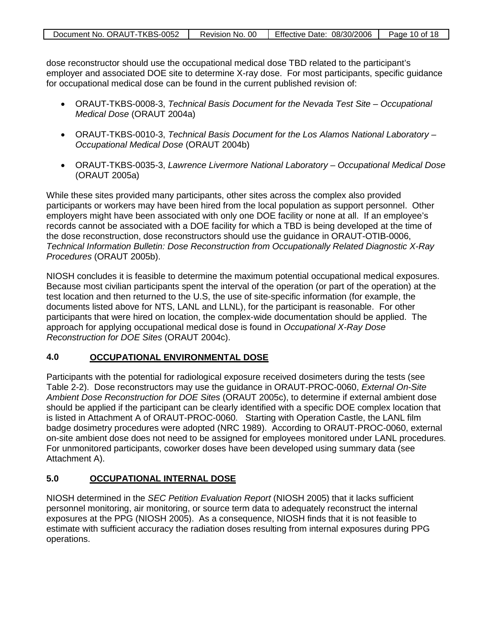| Document No. ORAUT-TKBS-0052 | Revision No. 00 | Effective Date: 08/30/2006 | Page 10 of 18 |
|------------------------------|-----------------|----------------------------|---------------|
|                              |                 |                            |               |

dose reconstructor should use the occupational medical dose TBD related to the participant's employer and associated DOE site to determine X-ray dose. For most participants, specific guidance for occupational medical dose can be found in the current published revision of:

- ORAUT-TKBS-0008-3, *Technical Basis Document for the Nevada Test Site – Occupational Medical Dose* (ORAUT 2004a)
- ORAUT-TKBS-0010-3, *Technical Basis Document for the Los Alamos National Laboratory – Occupational Medical Dose* (ORAUT 2004b)
- ORAUT-TKBS-0035-3, *Lawrence Livermore National Laboratory – Occupational Medical Dose* (ORAUT 2005a)

While these sites provided many participants, other sites across the complex also provided participants or workers may have been hired from the local population as support personnel. Other employers might have been associated with only one DOE facility or none at all. If an employee's records cannot be associated with a DOE facility for which a TBD is being developed at the time of the dose reconstruction, dose reconstructors should use the guidance in ORAUT-OTIB-0006, *Technical Information Bulletin: Dose Reconstruction from Occupationally Related Diagnostic X-Ray Procedures* (ORAUT 2005b).

NIOSH concludes it is feasible to determine the maximum potential occupational medical exposures. Because most civilian participants spent the interval of the operation (or part of the operation) at the test location and then returned to the U.S, the use of site-specific information (for example, the documents listed above for NTS, LANL and LLNL), for the participant is reasonable. For other participants that were hired on location, the complex-wide documentation should be applied. The approach for applying occupational medical dose is found in *Occupational X-Ray Dose Reconstruction for DOE Sites* (ORAUT 2004c).

#### **4.0 OCCUPATIONAL ENVIRONMENTAL DOSE**

Participants with the potential for radiological exposure received dosimeters during the tests (see Table 2-2). Dose reconstructors may use the guidance in ORAUT-PROC-0060, *External On-Site Ambient Dose Reconstruction for DOE Sites* (ORAUT 2005c), to determine if external ambient dose should be applied if the participant can be clearly identified with a specific DOE complex location that is listed in Attachment A of ORAUT-PROC-0060. Starting with Operation Castle, the LANL film badge dosimetry procedures were adopted (NRC 1989). According to ORAUT-PROC-0060, external on-site ambient dose does not need to be assigned for employees monitored under LANL procedures. For unmonitored participants, coworker doses have been developed using summary data (see Attachment A).

#### **5.0 OCCUPATIONAL INTERNAL DOSE**

NIOSH determined in the *SEC Petition Evaluation Report* (NIOSH 2005) that it lacks sufficient personnel monitoring, air monitoring, or source term data to adequately reconstruct the internal exposures at the PPG (NIOSH 2005). As a consequence, NIOSH finds that it is not feasible to estimate with sufficient accuracy the radiation doses resulting from internal exposures during PPG operations.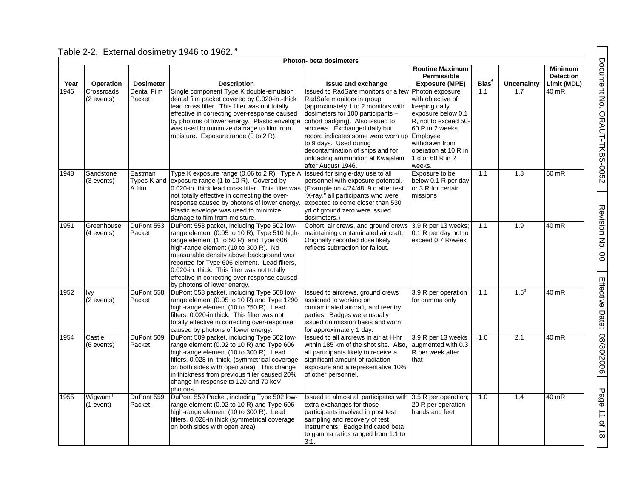|      |                                    |                                  |                                                                                                                                                                                                                                                                                                                                                                                                         | Photon- beta dosimeters                                                                                                                                                                                                                                                                                                                                                                  |                                                                                                                                                                                                 |             |                    |                                                   |
|------|------------------------------------|----------------------------------|---------------------------------------------------------------------------------------------------------------------------------------------------------------------------------------------------------------------------------------------------------------------------------------------------------------------------------------------------------------------------------------------------------|------------------------------------------------------------------------------------------------------------------------------------------------------------------------------------------------------------------------------------------------------------------------------------------------------------------------------------------------------------------------------------------|-------------------------------------------------------------------------------------------------------------------------------------------------------------------------------------------------|-------------|--------------------|---------------------------------------------------|
| Year | Operation                          | <b>Dosimeter</b>                 | <b>Description</b>                                                                                                                                                                                                                                                                                                                                                                                      | Issue and exchange                                                                                                                                                                                                                                                                                                                                                                       | <b>Routine Maximum</b><br>Permissible<br><b>Exposure (MPE)</b>                                                                                                                                  | <b>Bias</b> | <b>Uncertainty</b> | <b>Minimum</b><br><b>Detection</b><br>Limit (MDL) |
| 1946 | Crossroads<br>(2 events)           | <b>Dental Film</b><br>Packet     | Single component Type K double-emulsion<br>dental film packet covered by 0.020-in.-thick<br>lead cross filter. This filter was not totally<br>effective in correcting over-response caused<br>by photons of lower energy. Plastic envelope<br>was used to minimize damage to film from<br>moisture. Exposure range (0 to 2 R).                                                                          | Issued to RadSafe monitors or a few<br>RadSafe monitors in group<br>(approximately 1 to 2 monitors with<br>dosimeters for 100 participants -<br>cohort badging). Also issued to<br>aircrews. Exchanged daily but<br>record indicates some were worn up Employee<br>to 9 days. Used during<br>decontamination of ships and for<br>unloading ammunition at Kwajalein<br>after August 1946. | Photon exposure<br>with objective of<br>keeping daily<br>exposure below 0.1<br>R, not to exceed 50-<br>60 R in 2 weeks.<br>withdrawn from<br>operation at 10 R in<br>1 d or 60 R in 2<br>weeks. | 1.1         | 1.7                | 40 mR                                             |
| 1948 | Sandstone<br>(3 events)            | Eastman<br>Types K and<br>A film | Type K exposure range (0.06 to 2 R). Type A<br>exposure range (1 to 10 R). Covered by<br>0.020-in. thick lead cross filter. This filter was<br>not totally effective in correcting the over-<br>response caused by photons of lower energy.<br>Plastic envelope was used to minimize<br>damage to film from moisture.                                                                                   | Issued for single-day use to all<br>personnel with exposure potential.<br>(Example on 4/24/48, 9 d after test<br>'X-ray," all participants who were<br>expected to come closer than 530<br>yd of ground zero were issued<br>dosimeters.)                                                                                                                                                 | Exposure to be<br>below 0.1 R per day<br>or 3 R for certain<br>missions                                                                                                                         | 1.1         | 1.8                | 60 mR                                             |
| 1951 | Greenhouse<br>(4 events)           | DuPont 553<br>Packet             | DuPont 553 packet, including Type 502 low-<br>range element (0.05 to 10 R), Type 510 high-<br>range element (1 to 50 R), and Type 606<br>high-range element (10 to 300 R). No<br>measurable density above background was<br>reported for Type 606 element. Lead filters,<br>0.020-in. thick. This filter was not totally<br>effective in correcting over-response caused<br>by photons of lower energy. | Cohort, air crews, and ground crews<br>maintaining contaminated air craft.<br>Originally recorded dose likely<br>reflects subtraction for fallout.                                                                                                                                                                                                                                       | 3.9 R per 13 weeks;<br>0.1 R per day not to<br>exceed 0.7 R/week                                                                                                                                | 1.1         | 1.9                | 40 mR                                             |
| 1952 | Ivy<br>(2 events)                  | DuPont 558<br>Packet             | DuPont 558 packet, including Type 508 low-<br>range element (0.05 to 10 R) and Type 1290<br>high-range element (10 to 750 R). Lead<br>filters, 0.020-in thick. This filter was not<br>totally effective in correcting over-response<br>caused by photons of lower energy.                                                                                                                               | Issued to aircrews, ground crews<br>assigned to working on<br>contaminated aircraft, and reentry<br>parties. Badges were usually<br>issued on mission basis and worn<br>for approximately 1 day.                                                                                                                                                                                         | 3.9 R per operation<br>for gamma only                                                                                                                                                           | 1.1         | $1.5^{\circ}$      | 40 mR                                             |
| 1954 | Castle<br>(6 events)               | DuPont 509<br>Packet             | DuPont 509 packet, including Type 502 low-<br>range element (0.02 to 10 R) and Type 606<br>high-range element (10 to 300 R). Lead<br>filters, 0.028-in. thick, (symmetrical coverage<br>on both sides with open area). This change<br>in thickness from previous filter caused 20%<br>change in response to 120 and 70 keV<br>photons.                                                                  | Issued to all aircrews in air at H-hr<br>within 185 km of the shot site. Also,<br>all participants likely to receive a<br>significant amount of radiation<br>exposure and a representative 10%<br>of other personnel.                                                                                                                                                                    | 3.9 R per 13 weeks<br>augmented with 0.3<br>R per week after<br>that                                                                                                                            | 1.0         | $\overline{2.1}$   | 40 mR                                             |
| 1955 | Wigwam <sup>9</sup><br>$(1$ event) | DuPont 559<br>Packet             | DuPont 559 Packet, including Type 502 low-<br>range element (0.02 to 10 R) and Type 606<br>high-range element (10 to 300 R). Lead<br>filters, 0.028-in thick (symmetrical coverage<br>on both sides with open area).                                                                                                                                                                                    | Issued to almost all participates with 3.5 R per operation;<br>extra exchanges for those<br>participants involved in post test<br>sampling and recovery of test<br>instruments. Badge indicated beta<br>to gamma ratios ranged from 1:1 to<br>3:1.                                                                                                                                       | 20 R per operation<br>hands and feet                                                                                                                                                            | 1.0         | 1.4                | $40$ mR                                           |

Document No. ORAUT-TKBS-0052

Document No. ORAUT-TKBS-0052

Revision No. Revision No. 00

Effective Date:

Effective Date: 08/30/2006

08/30/2006

Page 11

of<br>18

### Table 2-2. External dosimetry 1946 to 1962. <sup>a</sup>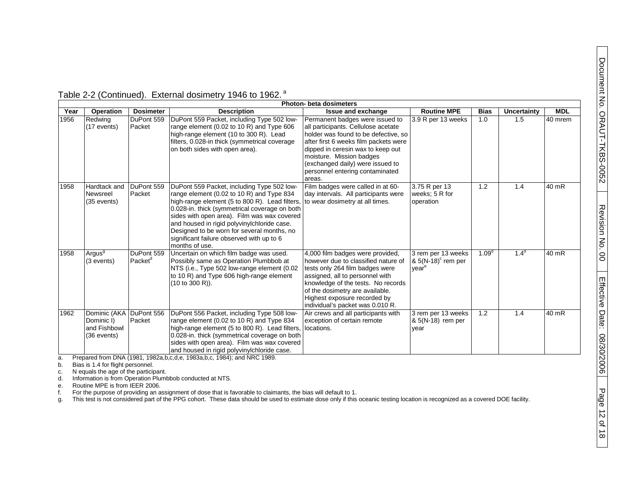|      | <b>Photon- beta dosimeters</b>                                       |                                   |                                                                                                                                                                                                                                                                                                                                                                                                       |                                                                                                                                                                                                                                                                                                           |                                                                             |                   |                  |            |  |
|------|----------------------------------------------------------------------|-----------------------------------|-------------------------------------------------------------------------------------------------------------------------------------------------------------------------------------------------------------------------------------------------------------------------------------------------------------------------------------------------------------------------------------------------------|-----------------------------------------------------------------------------------------------------------------------------------------------------------------------------------------------------------------------------------------------------------------------------------------------------------|-----------------------------------------------------------------------------|-------------------|------------------|------------|--|
| Year | <b>Operation</b>                                                     | <b>Dosimeter</b>                  | <b>Description</b>                                                                                                                                                                                                                                                                                                                                                                                    | <b>Issue and exchange</b>                                                                                                                                                                                                                                                                                 | <b>Routine MPE</b>                                                          | <b>Bias</b>       | Uncertainty      | <b>MDL</b> |  |
| 1956 | Redwing<br>(17 events)                                               | DuPont 559<br>Packet              | DuPont 559 Packet, including Type 502 low-<br>range element $(0.02 \text{ to } 10 \text{ R})$ and Type 606<br>high-range element (10 to 300 R). Lead<br>filters, 0.028-in thick (symmetrical coverage<br>on both sides with open area).                                                                                                                                                               | Permanent badges were issued to<br>all participants. Cellulose acetate<br>holder was found to be defective, so<br>after first 6 weeks film packets were<br>dipped in ceresin wax to keep out<br>moisture. Mission badges<br>(exchanged daily) were issued to<br>personnel entering contaminated<br>areas. | 3.9 R per 13 weeks                                                          | 1.0               | 1.5              | 40 mrem    |  |
| 1958 | Hardtack and<br>Newsreel<br>(35 events)                              | DuPont 559<br>Packet              | DuPont 559 Packet, including Type 502 low-<br>range element (0.02 to 10 R) and Type 834<br>high-range element (5 to 800 R). Lead filters,<br>0.028-in. thick (symmetrical coverage on both<br>sides with open area). Film was wax covered<br>and housed in rigid polyvinylchloride case.<br>Designed to be worn for several months, no<br>significant failure observed with up to 6<br>months of use. | Film badges were called in at 60-<br>day intervals. All participants were<br>to wear dosimetry at all times.                                                                                                                                                                                              | 3.75 R per 13<br>weeks; 5 R for<br>operation                                | 1.2               | 1.4              | 40 mR      |  |
| 1958 | Argus <sup>9</sup><br>(3 events)                                     | DuPont 559<br>Packet <sup>d</sup> | Uncertain on which film badge was used.<br>Possibly same as Operation Plumbbob at<br>NTS (i.e., Type 502 low-range element (0.02<br>to 10 R) and Type 606 high-range element<br>(10 to 300 R)).                                                                                                                                                                                                       | 4,000 film badges were provided,<br>however due to classified nature of<br>tests only 264 film badges were<br>assigned, all to personnel with<br>knowledge of the tests. No records<br>of the dosimetry are available.<br>Highest exposure recorded by<br>individual's packet was 0.010 R.                | 3 rem per 13 weeks<br>$8.5(N-18)$ <sup>c</sup> rem per<br>vear <sup>e</sup> | 1.09 <sup>d</sup> | 1.4 <sup>d</sup> | 40 mR      |  |
| 1962 | Dominic (AKA DuPont 556<br>Dominic I)<br>and Fishbowl<br>(36 events) | Packet                            | DuPont 556 Packet, including Type 508 low-<br>range element (0.02 to 10 R) and Type 834<br>high-range element (5 to 800 R). Lead filters,<br>0.028-in. thick (symmetrical coverage on both<br>sides with open area). Film was wax covered<br>and housed in rigid polyvinylchloride case.                                                                                                              | Air crews and all participants with<br>exception of certain remote<br>locations.                                                                                                                                                                                                                          | 3 rem per 13 weeks<br>& 5(N-18) rem per<br>year                             | 1.2               | 1.4              | 40 mR      |  |

Table 2-2 (Continued). External dosimetry 1946 to 1962. <sup>a</sup>

a. Prepared from DNA (1981, 1982a,b,c,d,e, 1983a,b,c, 1984); and NRC 1989.

b. Bias is 1.4 for flight personnel.<br>c. Nequals the age of the particip

c. N equals the age of the participant.<br>d. Information is from Operation Plumb

Information is from Operation Plumbbob conducted at NTS.

e. Routine MPE is from IEER 2006.

f. For the purpose of providing an assignment of dose that is favorable to claimants, the bias will default to 1.

g. This test is not considered part of the PPG cohort. These data should be used to estimate dose only if this oceanic testing location is recognized as a covered DOE facility.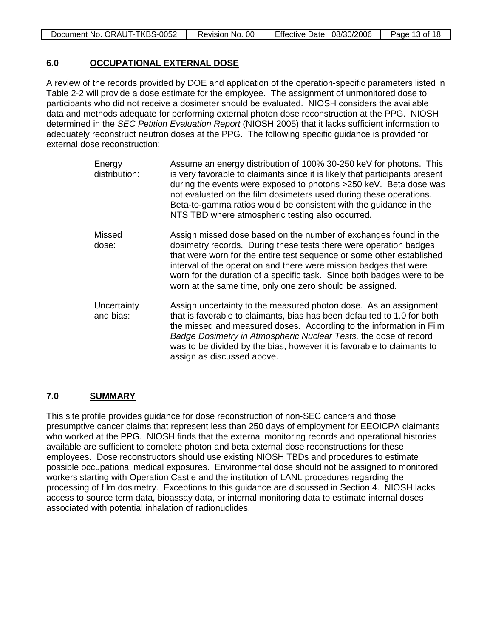| Document No. ORAUT-TKBS-0052 | Revision No. 00 | Effective Date: 08/30/2006 | Page 13 of 18 |
|------------------------------|-----------------|----------------------------|---------------|
|------------------------------|-----------------|----------------------------|---------------|

#### **6.0 OCCUPATIONAL EXTERNAL DOSE**

A review of the records provided by DOE and application of the operation-specific parameters listed in Table 2-2 will provide a dose estimate for the employee. The assignment of unmonitored dose to participants who did not receive a dosimeter should be evaluated. NIOSH considers the available data and methods adequate for performing external photon dose reconstruction at the PPG. NIOSH determined in the *SEC Petition Evaluation Report* (NIOSH 2005) that it lacks sufficient information to adequately reconstruct neutron doses at the PPG. The following specific guidance is provided for external dose reconstruction:

| Energy<br>distribution:  | Assume an energy distribution of 100% 30-250 keV for photons. This<br>is very favorable to claimants since it is likely that participants present<br>during the events were exposed to photons >250 keV. Beta dose was<br>not evaluated on the film dosimeters used during these operations.<br>Beta-to-gamma ratios would be consistent with the guidance in the<br>NTS TBD where atmospheric testing also occurred.     |
|--------------------------|---------------------------------------------------------------------------------------------------------------------------------------------------------------------------------------------------------------------------------------------------------------------------------------------------------------------------------------------------------------------------------------------------------------------------|
| Missed<br>dose:          | Assign missed dose based on the number of exchanges found in the<br>dosimetry records. During these tests there were operation badges<br>that were worn for the entire test sequence or some other established<br>interval of the operation and there were mission badges that were<br>worn for the duration of a specific task. Since both badges were to be<br>worn at the same time, only one zero should be assigned. |
| Uncertainty<br>and bias: | Assign uncertainty to the measured photon dose. As an assignment<br>that is favorable to claimants, bias has been defaulted to 1.0 for both<br>the missed and measured doses. According to the information in Film<br>Badge Dosimetry in Atmospheric Nuclear Tests, the dose of record<br>was to be divided by the bias, however it is favorable to claimants to<br>assign as discussed above.                            |

#### **7.0 SUMMARY**

This site profile provides guidance for dose reconstruction of non-SEC cancers and those presumptive cancer claims that represent less than 250 days of employment for EEOICPA claimants who worked at the PPG. NIOSH finds that the external monitoring records and operational histories available are sufficient to complete photon and beta external dose reconstructions for these employees. Dose reconstructors should use existing NIOSH TBDs and procedures to estimate possible occupational medical exposures. Environmental dose should not be assigned to monitored workers starting with Operation Castle and the institution of LANL procedures regarding the processing of film dosimetry. Exceptions to this guidance are discussed in Section 4. NIOSH lacks access to source term data, bioassay data, or internal monitoring data to estimate internal doses associated with potential inhalation of radionuclides.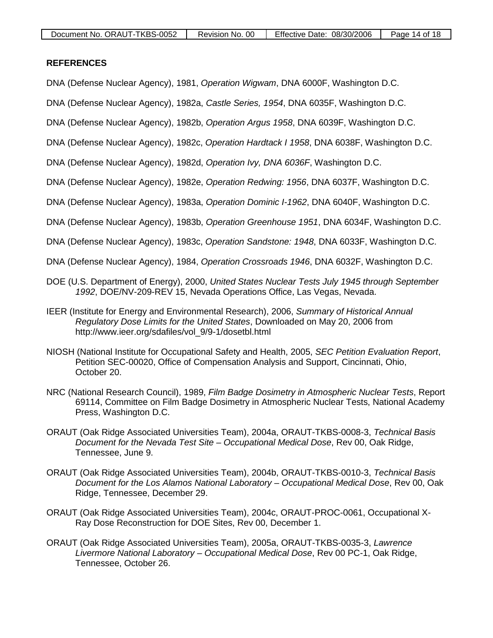#### **REFERENCES**

- DNA (Defense Nuclear Agency), 1981, *Operation Wigwam*, DNA 6000F, Washington D.C.
- DNA (Defense Nuclear Agency), 1982a, *Castle Series, 1954*, DNA 6035F, Washington D.C.
- DNA (Defense Nuclear Agency), 1982b, *Operation Argus 1958*, DNA 6039F, Washington D.C.
- DNA (Defense Nuclear Agency), 1982c, *Operation Hardtack I 1958*, DNA 6038F, Washington D.C.
- DNA (Defense Nuclear Agency), 1982d, *Operation Ivy, DNA 6036F*, Washington D.C.
- DNA (Defense Nuclear Agency), 1982e, *Operation Redwing: 1956*, DNA 6037F, Washington D.C.
- DNA (Defense Nuclear Agency), 1983a, *Operation Dominic I-1962*, DNA 6040F, Washington D.C.
- DNA (Defense Nuclear Agency), 1983b, *Operation Greenhouse 1951*, DNA 6034F, Washington D.C.
- DNA (Defense Nuclear Agency), 1983c, *Operation Sandstone: 1948*, DNA 6033F, Washington D.C.
- DNA (Defense Nuclear Agency), 1984, *Operation Crossroads 1946*, DNA 6032F, Washington D.C.
- DOE (U.S. Department of Energy), 2000, *United States Nuclear Tests July 1945 through September 1992*, DOE/NV-209-REV 15, Nevada Operations Office, Las Vegas, Nevada.
- IEER (Institute for Energy and Environmental Research), 2006, *Summary of Historical Annual Regulatory Dose Limits for the United States*, Downloaded on May 20, 2006 from [http://www.ieer.org/sdafiles/vol\\_9/9-1/dosetbl.html](http://www.ieer.org/sdafiles/vol_9/9-1/dosetbl.html)
- NIOSH (National Institute for Occupational Safety and Health, 2005, *SEC Petition Evaluation Report*, Petition SEC-00020, Office of Compensation Analysis and Support, Cincinnati, Ohio, October 20.
- NRC (National Research Council), 1989, *Film Badge Dosimetry in Atmospheric Nuclear Tests*, Report 69114, Committee on Film Badge Dosimetry in Atmospheric Nuclear Tests, National Academy Press, Washington D.C.
- ORAUT (Oak Ridge Associated Universities Team), 2004a, ORAUT-TKBS-0008-3, *Technical Basis Document for the Nevada Test Site – Occupational Medical Dose*, Rev 00, Oak Ridge, Tennessee, June 9.
- ORAUT (Oak Ridge Associated Universities Team), 2004b, ORAUT-TKBS-0010-3, *Technical Basis Document for the Los Alamos National Laboratory – Occupational Medical Dose*, Rev 00, Oak Ridge, Tennessee, December 29.
- ORAUT (Oak Ridge Associated Universities Team), 2004c, ORAUT-PROC-0061, Occupational X-Ray Dose Reconstruction for DOE Sites, Rev 00, December 1.
- ORAUT (Oak Ridge Associated Universities Team), 2005a, ORAUT-TKBS-0035-3, *Lawrence Livermore National Laboratory – Occupational Medical Dose*, Rev 00 PC-1, Oak Ridge, Tennessee, October 26.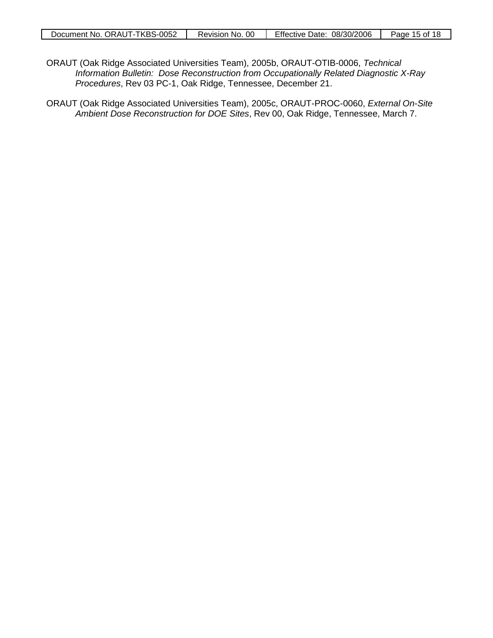- ORAUT (Oak Ridge Associated Universities Team), 2005b, ORAUT-OTIB-0006, *Technical Information Bulletin: Dose Reconstruction from Occupationally Related Diagnostic X-Ray Procedures*, Rev 03 PC-1, Oak Ridge, Tennessee, December 21.
- ORAUT (Oak Ridge Associated Universities Team), 2005c, ORAUT-PROC-0060, *External On-Site Ambient Dose Reconstruction for DOE Sites*, Rev 00, Oak Ridge, Tennessee, March 7.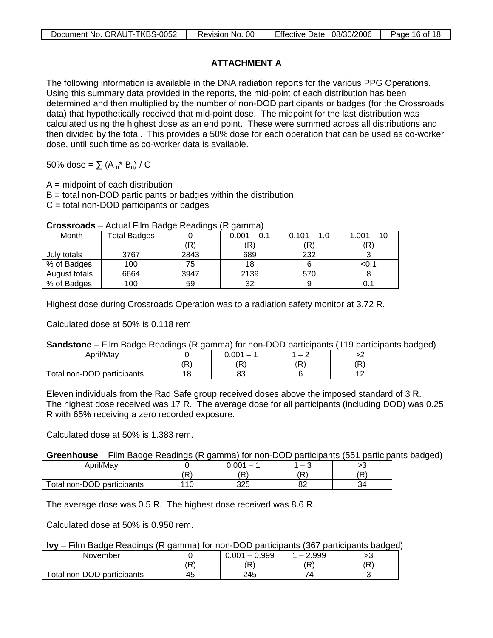## **ATTACHMENT A**

The following information is available in the DNA radiation reports for the various PPG Operations. Using this summary data provided in the reports, the mid-point of each distribution has been determined and then multiplied by the number of non-DOD participants or badges (for the Crossroads data) that hypothetically received that mid-point dose. The midpoint for the last distribution was calculated using the highest dose as an end point. These were summed across all distributions and then divided by the total. This provides a 50% dose for each operation that can be used as co-worker dose, until such time as co-worker data is available.

50% dose =  $\sum (A_n^* B_n) / C$ 

 $A = midpoint$  of each distribution

B = total non-DOD participants or badges within the distribution

C = total non-DOD participants or badges

| UI VJJI VUUJ  | $\overline{a}$ , located in the badge including (in gainmed) |      |               |               |              |  |  |
|---------------|--------------------------------------------------------------|------|---------------|---------------|--------------|--|--|
| Month         | <b>Total Badges</b>                                          |      | $0.001 - 0.1$ | $0.101 - 1.0$ | $1.001 - 10$ |  |  |
|               |                                                              | ΈR.  |               | 'R)           | (R`          |  |  |
| July totals   | 3767                                                         | 2843 | 689           | 232           |              |  |  |
| % of Badges   | 100                                                          | 75   | 18            |               | <0.1         |  |  |
| August totals | 6664                                                         | 3947 | 2139          | 570           |              |  |  |
| % of Badges   | 100                                                          | 59   | 32            |               | 0.1          |  |  |

**Crossroads** – Actual Film Badge Readings (R gamma)

Highest dose during Crossroads Operation was to a radiation safety monitor at 3.72 R.

Calculated dose at 50% is 0.118 rem

### **Sandstone** – Film Badge Readings (R gamma) for non-DOD participants (119 participants badged)

| April/May                  | 0.001<br>$\overline{\phantom{0}}$ |        |
|----------------------------|-----------------------------------|--------|
|                            | ה'                                |        |
| Total non-DOD participants | οc<br>ບປ                          | $\sim$ |

Eleven individuals from the Rad Safe group received doses above the imposed standard of 3 R. The highest dose received was 17 R. The average dose for all participants (including DOD) was 0.25 R with 65% receiving a zero recorded exposure.

Calculated dose at 50% is 1.383 rem.

### **Greenhouse** – Film Badge Readings (R gamma) for non-DOD participants (551 participants badged)

| April/May                  |     | 0.001<br>$\overline{\phantom{m}}$ |    |          |
|----------------------------|-----|-----------------------------------|----|----------|
|                            | D)  | ם׳                                | D. | 'R       |
| Total non-DOD participants | 110 | 325                               | 00 | $\Omega$ |

The average dose was 0.5 R. The highest dose received was 8.6 R.

Calculated dose at 50% is 0.950 rem.

### **Ivy** – Film Badge Readings (R gamma) for non-DOD participants (367 participants badged)

| November                   |            | 0.999<br>0.001<br>$\overline{\phantom{0}}$ | 2.999<br>$\sim$<br>$\sim$ $\sim$ | ∼   |
|----------------------------|------------|--------------------------------------------|----------------------------------|-----|
|                            | $\sqrt{2}$ | ם ׳                                        | D.                               | ם ׳ |
| Total non-DOD participants | 45         | 245                                        |                                  | ◟   |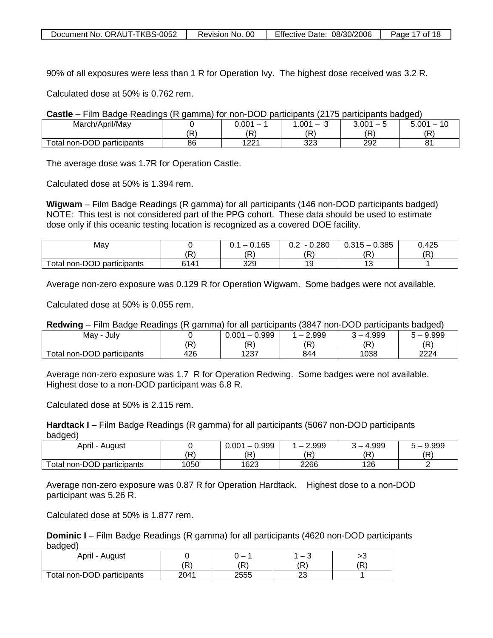| Document No. ORAUT-TKBS-0052 | Revision No. 00 | Effective Date: 08/30/2006 | Page 17 of 18 |
|------------------------------|-----------------|----------------------------|---------------|
|------------------------------|-----------------|----------------------------|---------------|

90% of all exposures were less than 1 R for Operation Ivy. The highest dose received was 3.2 R.

Calculated dose at 50% is 0.762 rem.

|  | <b>Castle</b> – Film Badge Readings (R gamma) for non-DOD participants (2175 participants badged) |  |  |  |  |  |  |
|--|---------------------------------------------------------------------------------------------------|--|--|--|--|--|--|
|--|---------------------------------------------------------------------------------------------------|--|--|--|--|--|--|

| March/April/May                 |    | 0.001       | .001<br>– | 3.001 | 5.001<br>$\overline{A}$ |
|---------------------------------|----|-------------|-----------|-------|-------------------------|
|                                 | Ъ  | 'R`         | 'R        | ΊR    | ٬ם׳                     |
| non-DOD<br>otal<br>participants | 86 | 1001<br>▗▃▃ | 323       | 292   | ດ⊿<br>o.                |

The average dose was 1.7R for Operation Castle.

Calculated dose at 50% is 1.394 rem.

**Wigwam** – Film Badge Readings (R gamma) for all participants (146 non-DOD participants badged) NOTE: This test is not considered part of the PPG cohort. These data should be used to estimate dose only if this oceanic testing location is recognized as a covered DOE facility.

| Mav                        |      | .165<br>ັບ. .<br>v. | $-0.280$<br>∪.∠ | 0.385<br>0.315 | 0.425 |
|----------------------------|------|---------------------|-----------------|----------------|-------|
|                            | (R   | ה/                  | (R)             | ΊR             | (D)   |
| Total non-DOD participants | 6141 | 329                 | 19              | $\sim$<br>ں ،  |       |

Average non-zero exposure was 0.129 R for Operation Wigwam. Some badges were not available.

Calculated dose at 50% is 0.055 rem.

#### **Redwing** – Film Badge Readings (R gamma) for all participants (3847 non-DOD participants badged)

| May -<br>Julv              |     | $-0.999$<br>0.001 | 2.999<br>⌒<br>$\overline{\phantom{0}}$ | 4.999<br><b>I</b> | 9.999               |
|----------------------------|-----|-------------------|----------------------------------------|-------------------|---------------------|
|                            | 'R  | (D)<br>.          | (R                                     | ίR                | $\sqrt{R}$<br>1 N.E |
| Total non-DOD participants | 426 | 1227<br>،ر∠⊾      | 844                                    | 1038              | 2224                |

Average non-zero exposure was 1.7 R for Operation Redwing. Some badges were not available. Highest dose to a non-DOD participant was 6.8 R.

Calculated dose at 50% is 2.115 rem.

**Hardtack I** – Film Badge Readings (R gamma) for all participants (5067 non-DOD participants badged)

| April<br>August            |      | 0.999<br>0.001<br>$\overline{\phantom{0}}$ | 2.999<br>$\overline{\phantom{0}}$ | 4.999 | 9.999 |
|----------------------------|------|--------------------------------------------|-----------------------------------|-------|-------|
|                            | 'R)  | (R                                         | ' ہΩ                              | (R    | ίR    |
| Total non-DOD participants | 1050 | 1623                                       | 2266                              | 126   |       |

Average non-zero exposure was 0.87 R for Operation Hardtack. Highest dose to a non-DOD participant was 5.26 R.

Calculated dose at 50% is 1.877 rem.

**Dominic I** – Film Badge Readings (R gamma) for all participants (4620 non-DOD participants badged)

| April -<br>August          |      |      | ◠       | ∼  |
|----------------------------|------|------|---------|----|
|                            | ם י  | ם'   | : כו    | D. |
| Total non-DOD participants | 2041 | 2555 | ົ<br>ںے |    |